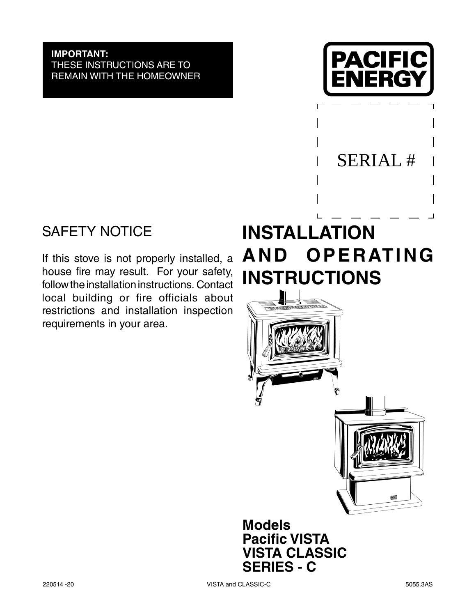#### **IMPORTANT:** THESE INSTRUCTIONS ARE TO REMAIN WITH THE HOMEOWNER



SERIAL #

### SAFETY NOTICE

If this stove is not properly installed, a house fire may result. For your safety, follow the installation instructions. Contact local building or fire officials about restrictions and installation inspection requirements in your area.

## **INSTALLATION AND OPERATING INSTRUCTIONS**



**Models Pacific VISTA VISTA CLASSIC SERIES - C**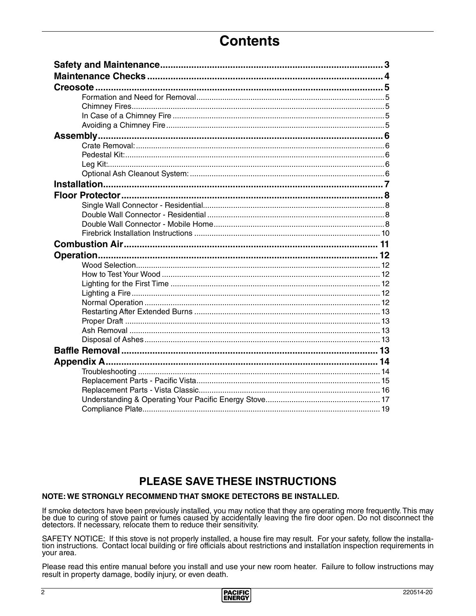### **Contents**

| Creosote |  |
|----------|--|
|          |  |
|          |  |
|          |  |
|          |  |
|          |  |
|          |  |
|          |  |
|          |  |
|          |  |
|          |  |
|          |  |
|          |  |
|          |  |
|          |  |
|          |  |
|          |  |
|          |  |
|          |  |
|          |  |
|          |  |
|          |  |
|          |  |
|          |  |
|          |  |
|          |  |
|          |  |
|          |  |
|          |  |
|          |  |
|          |  |
|          |  |
|          |  |
|          |  |

#### **PLEASE SAVE THESE INSTRUCTIONS**

#### NOTE: WE STRONGLY RECOMMEND THAT SMOKE DETECTORS BE INSTALLED.

If smoke detectors have been previously installed, you may notice that they are operating more frequently. This may be due to curing of stove paint or fumes caused by accidentally leaving the fire door open. Do not disconn

SAFETY NOTICE: If this stove is not properly installed, a house fire may result. For your safety, follow the installation instructions. Contact local building or fire officials about restrictions and installation inspectio your area.

Please read this entire manual before you install and use your new room heater. Failure to follow instructions may result in property damage, bodily injury, or even death.

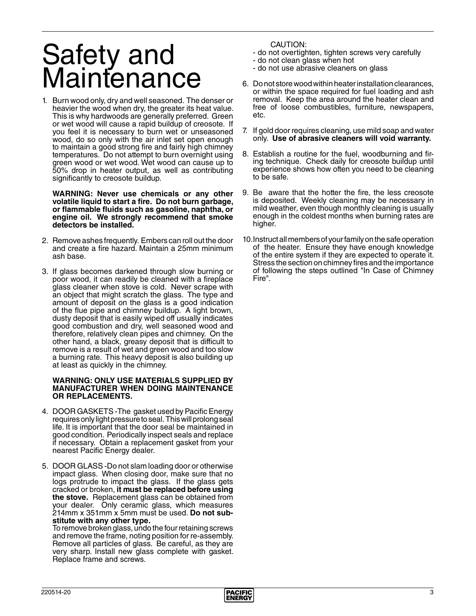## Safety and **Maintenance**

1. Burn wood only, dry and well seasoned. The denser or heavier the wood when dry, the greater its heat value. This is why hardwoods are generally preferred. Green or wet wood will cause a rapid buildup of creosote. If you feel it is necessary to burn wet or unseasoned wood, do so only with the air inlet set open enough to maintain a good strong fire and fairly high chimney temperatures. Do not attempt to burn overnight using green wood or wet wood. Wet wood can cause up to 50% drop in heater output, as well as contributing significantly to creosote buildup.

**WARNING: Never use chemicals or any other**  volatile liquid to start a fire. Do not burn garbage, **or fl ammable fl uids such as gasoline, naphtha, or engine oil. We strongly recommend that smoke detectors be installed.**

- 2. Remove ashes frequently. Embers can roll out the door and create a fire hazard. Maintain a 25mm minimum ash base.
- 3. If glass becomes darkened through slow burning or poor wood, it can readily be cleaned with a fireplace glass cleaner when stove is cold. Never scrape with an object that might scratch the glass. The type and amount of deposit on the glass is a good indication of the flue pipe and chimney buildup. A light brown, dusty deposit that is easily wiped off usually indicates good combustion and dry, well seasoned wood and therefore, relatively clean pipes and chimney. On the other hand, a black, greasy deposit that is difficult to remove is a result of wet and green wood and too slow a burning rate. This heavy deposit is also building up at least as quickly in the chimney.

#### **WARNING: ONLY USE MATERIALS SUPPLIED BY MANUFACTURER WHEN DOING MAINTENANCE OR REPLACEMENTS.**

- 4. DOOR GASKETS The gasket used by Pacific Energy requires only light pressure to seal. This will prolong seal life. It is important that the door seal be maintained in good condition. Periodically inspect seals and replace if necessary. Obtain a replacement gasket from your nearest Pacific Energy dealer.
- 5. DOOR GLASS -Do not slam loading door or otherwise impact glass. When closing door, make sure that no logs protrude to impact the glass. If the glass gets cracked or broken, **it must be replaced before using the stove.** Replacement glass can be obtained from your dealer. Only ceramic glass, which measures 214mm x 351mm x 5mm must be used. **Do not substitute with any other type.**

 To remove broken glass, undo the four retaining screws and remove the frame, noting position for re-assembly. Remove all particles of glass. Be careful, as they are very sharp. Install new glass complete with gasket. Replace frame and screws.

CAUTION:

- do not overtighten, tighten screws very carefully
- do not clean glass when hot
- do not use abrasive cleaners on glass
- 6. Do not store wood within heater installation clearances, or within the space required for fuel loading and ash removal. Keep the area around the heater clean and free of loose combustibles, furniture, newspapers, etc.
- 7. If gold door requires cleaning, use mild soap and water only. **Use of abrasive cleaners will void warranty.**
- 8. Establish a routine for the fuel, woodburning and firing technique. Check daily for creosote buildup until experience shows how often you need to be cleaning to be safe.
- 9. Be aware that the hotter the fire, the less creosote is deposited. Weekly cleaning may be necessary in mild weather, even though monthly cleaning is usually enough in the coldest months when burning rates are higher.
- 10. Instruct all members of your family on the safe operation of the heater. Ensure they have enough knowledge of the entire system if they are expected to operate it. Stress the section on chimney fires and the importance of following the steps outlined "In Case of Chimney Fire".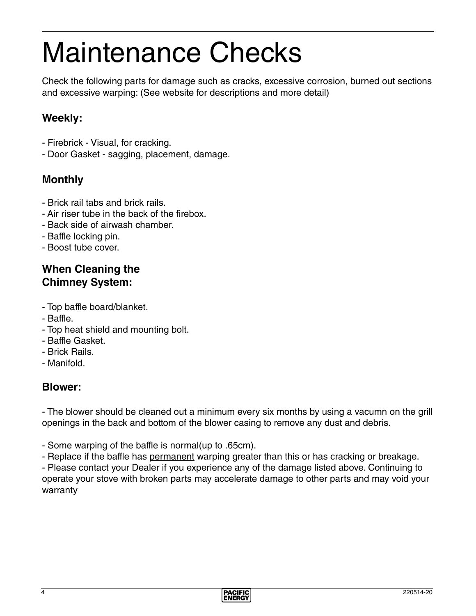# Maintenance Checks

Check the following parts for damage such as cracks, excessive corrosion, burned out sections and excessive warping: (See website for descriptions and more detail)

### **Weekly:**

- Firebrick Visual, for cracking.
- Door Gasket sagging, placement, damage.

### **Monthly**

- Brick rail tabs and brick rails.
- Air riser tube in the back of the firebox.
- Back side of airwash chamber.
- Baffle locking pin.
- Boost tube cover.

#### **When Cleaning the Chimney System:**

- Top baffle board/blanket.
- Baffle.
- Top heat shield and mounting bolt.
- Baffle Gasket.
- Brick Rails.
- Manifold.

#### **Blower:**

- The blower should be cleaned out a minimum every six months by using a vacumn on the grill openings in the back and bottom of the blower casing to remove any dust and debris.

- Some warping of the baffle is normal(up to .65cm).

- Replace if the baffle has permanent warping greater than this or has cracking or breakage.

- Please contact your Dealer if you experience any of the damage listed above. Continuing to operate your stove with broken parts may accelerate damage to other parts and may void your warranty

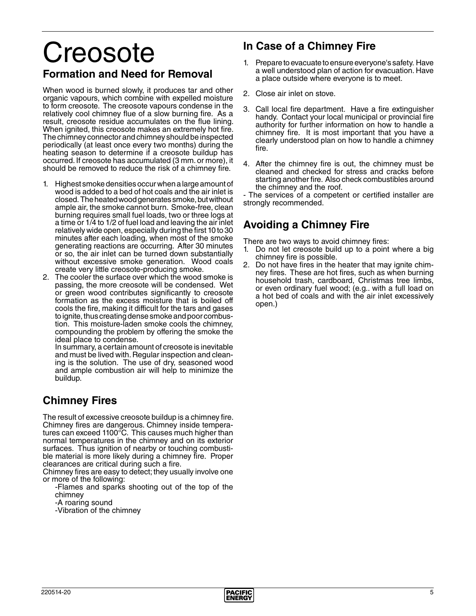# **Creosote**

#### **Formation and Need for Removal**

When wood is burned slowly, it produces tar and other organic vapours, which combine with expelled moisture to form creosote. The creosote vapours condense in the relatively cool chimney flue of a slow burning fire. As a result, creosote residue accumulates on the flue lining. When ignited, this creosote makes an extremely hot fire. The chimney connector and chimney should be inspected periodically (at least once every two months) during the heating season to determine if a creosote buildup has occurred. If creosote has accumulated (3 mm. or more), it should be removed to reduce the risk of a chimney fire.

- 1. Highest smoke densities occur when a large amount of wood is added to a bed of hot coals and the air inlet is closed. The heated wood generates smoke, but without ample air, the smoke cannot burn. Smoke-free, clean burning requires small fuel loads, two or three logs at a time or 1/4 to 1/2 of fuel load and leaving the air inlet relatively wide open, especially during the first 10 to 30 minutes after each loading, when most of the smoke generating reactions are occurring. After 30 minutes or so, the air inlet can be turned down substantially without excessive smoke generation. Wood coals create very little creosote-producing smoke.
- 2. The cooler the surface over which the wood smoke is passing, the more creosote will be condensed. Wet or green wood contributes significantly to creosote formation as the excess moisture that is boiled off cools the fire, making it difficult for the tars and gases to ignite, thus creating dense smoke and poor combustion. This moisture-laden smoke cools the chimney, compounding the problem by offering the smoke the ideal place to condense.

 In summary, a certain amount of creosote is inevitable and must be lived with. Regular inspection and cleaning is the solution. The use of dry, seasoned wood and ample combustion air will help to minimize the buildup.

#### **Chimney Fires**

The result of excessive creosote buildup is a chimney fire. Chimney fires are dangerous. Chimney inside temperatures can exceed 1100°C. This causes much higher than normal temperatures in the chimney and on its exterior surfaces. Thus ignition of nearby or touching combustible material is more likely during a chimney fire. Proper clearances are critical during such a fire.

Chimney fires are easy to detect; they usually involve one or more of the following:

 -Flames and sparks shooting out of the top of the chimney

-A roaring sound

-Vibration of the chimney

### **In Case of a Chimney Fire**

- 1. Prepare to evacuate to ensure everyone's safety. Have a well understood plan of action for evacuation. Have a place outside where everyone is to meet.
- 2. Close air inlet on stove.
- 3. Call local fire department. Have a fire extinguisher handy. Contact your local municipal or provincial fire authority for further information on how to handle a chimney fire. It is most important that you have a clearly understood plan on how to handle a chimney fire.
- 4. After the chimney fire is out, the chimney must be cleaned and checked for stress and cracks before starting another fire. Also check combustibles around the chimney and the roof.

- The services of a competent or certified installer are strongly recommended.

#### **Avoiding a Chimney Fire**

There are two ways to avoid chimney fires:

- 1. Do not let creosote build up to a point where a big chimney fire is possible.
- 2. Do not have fires in the heater that may ignite chimney fires. These are hot fires, such as when burning household trash, cardboard, Christmas tree limbs, or even ordinary fuel wood; (e.g.. with a full load on a hot bed of coals and with the air inlet excessively open.)

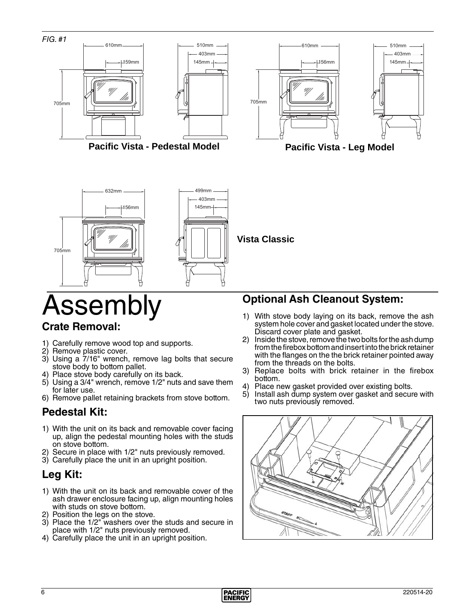



## Assembly

#### **Crate Removal:**

- 1) Carefully remove wood top and supports.
- 2) Remove plastic cover.
- 3) Using a 7/16" wrench, remove lag bolts that secure stove body to bottom pallet.
- 4) Place stove body carefully on its back.
- 5) Using a 3/4" wrench, remove 1/2" nuts and save them for later use.
- 6) Remove pallet retaining brackets from stove bottom.

### **Pedestal Kit:**

- 1) With the unit on its back and removable cover facing up, align the pedestal mounting holes with the studs on stove bottom.
- 2) Secure in place with 1/2" nuts previously removed.
- 3) Carefully place the unit in an upright position.

### **Leg Kit:**

- 1) With the unit on its back and removable cover of the ash drawer enclosure facing up, align mounting holes with studs on stove bottom.
- 2) Position the legs on the stove.
- 3) Place the 1/2" washers over the studs and secure in place with 1/2" nuts previously removed.
- 4) Carefully place the unit in an upright position.

### **Optional Ash Cleanout System:**

- 1) With stove body laying on its back, remove the ash system hole cover and gasket located under the stove. Discard cover plate and gasket.
- 2) Inside the stove, remove the two bolts for the ash dump from the firebox bottom and insert into the brick retainer with the flanges on the the brick retainer pointed away from the threads on the bolts.
- 3) Replace bolts with brick retainer in the firebox bottom.
- 4) Place new gasket provided over existing bolts.<br>5) Install ash dump system over gasket and secur
- Install ash dump system over gasket and secure with two nuts previously removed.



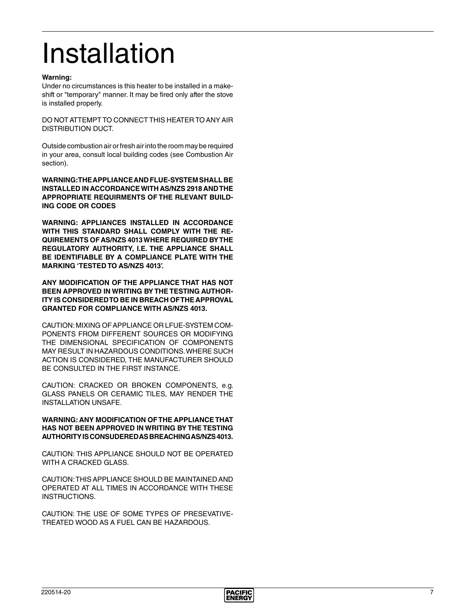# Installation

#### **Warning:**

Under no circumstances is this heater to be installed in a makeshift or "temporary" manner. It may be fired only after the stove is installed properly.

DO NOT ATTEMPT TO CONNECT THIS HEATER TO ANY AIR DISTRIBUTION DUCT.

Outside combustion air or fresh air into the room may be required in your area, consult local building codes (see Combustion Air section).

**WARNING: THE APPLIANCE AND FLUE-SYSTEM SHALL BE INSTALLED IN ACCORDANCE WITH AS/NZS 2918 AND THE APPROPRIATE REQUIRMENTS OF THE RLEVANT BUILD-ING CODE OR CODES**

**WARNING: APPLIANCES INSTALLED IN ACCORDANCE WITH THIS STANDARD SHALL COMPLY WITH THE RE-QUIREMENTS OF AS/NZS 4013 WHERE REQUIRED BY THE REGULATORY AUTHORITY, I.E. THE APPLIANCE SHALL BE IDENTIFIABLE BY A COMPLIANCE PLATE WITH THE MARKING 'TESTED TO AS/NZS 4013'.**

**ANY MODIFICATION OF THE APPLIANCE THAT HAS NOT BEEN APPROVED IN WRITING BY THE TESTING AUTHOR-ITY IS CONSIDERED TO BE IN BREACH OF THE APPROVAL GRANTED FOR COMPLIANCE WITH AS/NZS 4013.**

CAUTION: MIXING OF APPLIANCE OR LFUE-SYSTEM COM-PONENTS FROM DIFFERENT SOURCES OR MODIFYING THE DIMENSIONAL SPECIFICATION OF COMPONENTS MAY RESULT IN HAZARDOUS CONDITIONS. WHERE SUCH ACTION IS CONSIDERED, THE MANUFACTURER SHOULD BE CONSULTED IN THE FIRST INSTANCE.

CAUTION: CRACKED OR BROKEN COMPONENTS, e.g. GLASS PANELS OR CERAMIC TILES, MAY RENDER THE INSTALLATION UNSAFE.

**WARNING: ANY MODIFICATION OF THE APPLIANCE THAT HAS NOT BEEN APPROVED IN WRITING BY THE TESTING AUTHORITY IS CONSUDERED AS BREACHING AS/NZS 4013.**

CAUTION: THIS APPLIANCE SHOULD NOT BE OPERATED WITH A CRACKED GLASS.

CAUTION: THIS APPLIANCE SHOULD BE MAINTAINED AND OPERATED AT ALL TIMES IN ACCORDANCE WITH THESE INSTRUCTIONS.

CAUTION: THE USE OF SOME TYPES OF PRESEVATIVE-TREATED WOOD AS A FUEL CAN BE HAZARDOUS.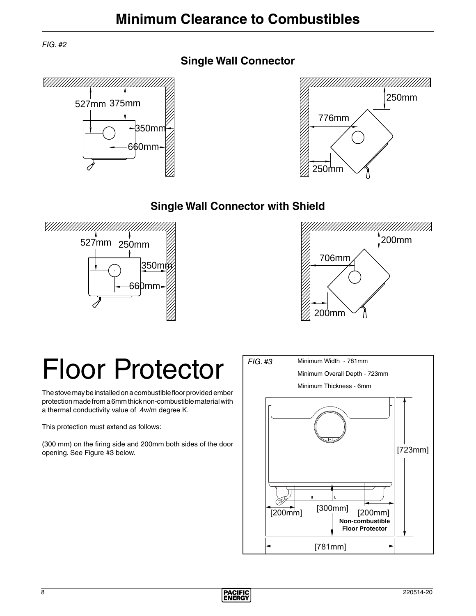FIG. #2

#### **Single Wall Connector**



#### **Single Wall Connector with Shield**





250mm

# Floor Protector

The stove may be installed on a combustible floor provided ember protection made from a 6mm thick non-combustible material with a thermal conductivity value of .4w/m degree K.

This protection must extend as follows:

(300 mm) on the firing side and 200mm both sides of the door opening. See Figure #3 below.

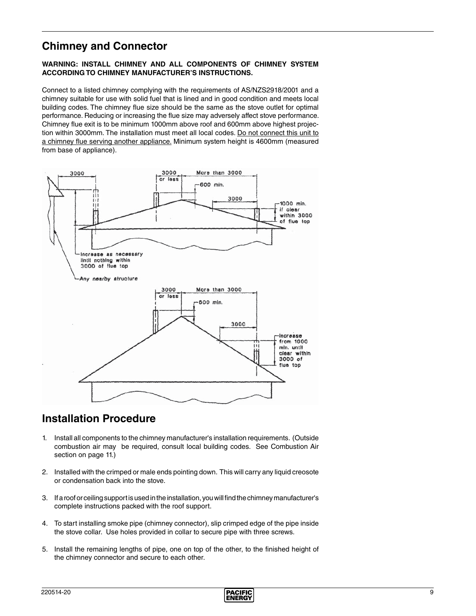#### **Chimney and Connector**

#### **WARNING: INSTALL CHIMNEY AND ALL COMPONENTS OF CHIMNEY SYSTEM ACCORDING TO CHIMNEY MANUFACTURER'S INSTRUCTIONS.**

Connect to a listed chimney complying with the requirements of AS/NZS2918/2001 and a chimney suitable for use with solid fuel that is lined and in good condition and meets local building codes. The chimney flue size should be the same as the stove outlet for optimal performance. Reducing or increasing the flue size may adversely affect stove performance. Chimney flue exit is to be minimum 1000mm above roof and 600mm above highest projection within 3000mm. The installation must meet all local codes. Do not connect this unit to a chimney flue serving another appliance. Minimum system height is 4600mm (measured from base of appliance).



#### **Installation Procedure**

- 1. Install all components to the chimney manufacturer's installation requirements. (Outside combustion air may be required, consult local building codes. See Combustion Air section on page 11.)
- 2. Installed with the crimped or male ends pointing down. This will carry any liquid creosote or condensation back into the stove.
- 3. If a roof or ceiling support is used in the installation, you will find the chimney manufacturer's complete instructions packed with the roof support.
- 4. To start installing smoke pipe (chimney connector), slip crimped edge of the pipe inside the stove collar. Use holes provided in collar to secure pipe with three screws.
- 5. Install the remaining lengths of pipe, one on top of the other, to the finished height of the chimney connector and secure to each other.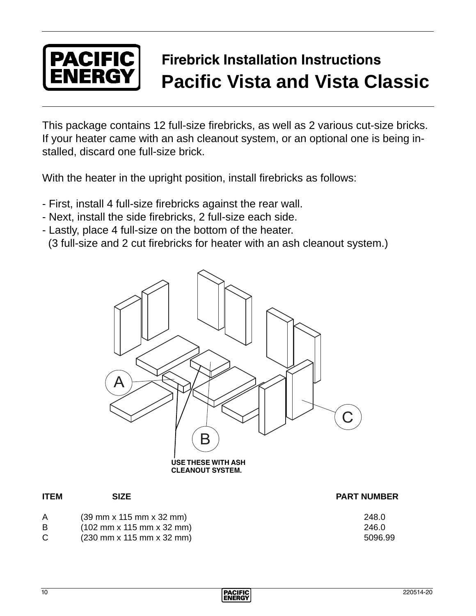

## **Pacifi c Vista and Vista Classic Firebrick Installation Instructions**

This package contains 12 full-size firebricks, as well as 2 various cut-size bricks. If your heater came with an ash cleanout system, or an optional one is being installed, discard one full-size brick.

With the heater in the upright position, install firebricks as follows:

- First, install 4 full-size firebricks against the rear wall.
- Next, install the side firebricks, 2 full-size each side.
- Lastly, place 4 full-size on the bottom of the heater.

(3 full-size and 2 cut firebricks for heater with an ash cleanout system.)



| <b>ITEM</b> | <b>SIZE</b>                                                         | <b>PART NUMBER</b> |
|-------------|---------------------------------------------------------------------|--------------------|
| A           | $(39 \, \text{mm} \times 115 \, \text{mm} \times 32 \, \text{mm})$  | 248.0              |
| В           | $(102 \, \text{mm} \times 115 \, \text{mm} \times 32 \, \text{mm})$ | 246.0              |
| C.          | $(230 \, \text{mm} \times 115 \, \text{mm} \times 32 \, \text{mm})$ | 5096.99            |
|             |                                                                     |                    |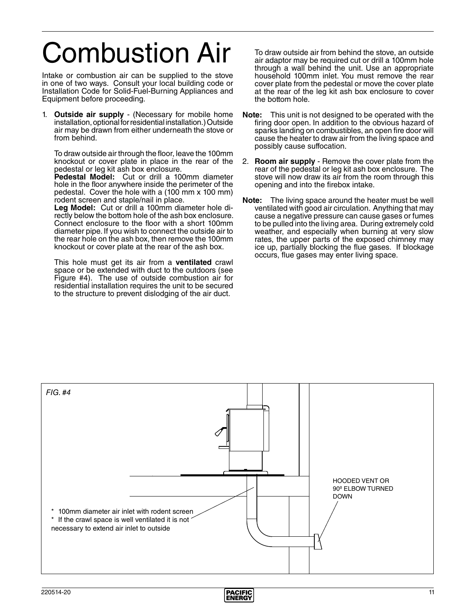# Combustion Air

Intake or combustion air can be supplied to the stove in one of two ways. Consult your local building code or Installation Code for Solid-Fuel-Burning Appliances and Equipment before proceeding.

1. **Outside air supply** - (Necessary for mobile home installation, optional for residential installation.) Outside air may be drawn from either underneath the stove or from behind.

To draw outside air through the floor, leave the 100mm knockout or cover plate in place in the rear of the pedestal or leg kit ash box enclosure.

 **Pedestal Model:** Cut or drill a 100mm diameter hole in the floor anywhere inside the perimeter of the pedestal. Cover the hole with a (100 mm x 100 mm) rodent screen and staple/nail in place.

 **Leg Model:** Cut or drill a 100mm diameter hole directly below the bottom hole of the ash box enclosure. Connect enclosure to the floor with a short 100mm diameter pipe. If you wish to connect the outside air to the rear hole on the ash box, then remove the 100mm knockout or cover plate at the rear of the ash box.

 This hole must get its air from a **ventilated** crawl space or be extended with duct to the outdoors (see Figure #4). The use of outside combustion air for residential installation requires the unit to be secured to the structure to prevent dislodging of the air duct.

 To draw outside air from behind the stove, an outside air adaptor may be required cut or drill a 100mm hole through a wall behind the unit. Use an appropriate household 100mm inlet. You must remove the rear cover plate from the pedestal or move the cover plate at the rear of the leg kit ash box enclosure to cover the bottom hole.

- **Note:** This unit is not designed to be operated with the firing door open. In addition to the obvious hazard of sparks landing on combustibles, an open fire door will cause the heater to draw air from the living space and possibly cause suffocation.
- 2. **Room air supply**  Remove the cover plate from the rear of the pedestal or leg kit ash box enclosure. The stove will now draw its air from the room through this opening and into the firebox intake.
- **Note:** The living space around the heater must be well ventilated with good air circulation. Anything that may cause a negative pressure can cause gases or fumes to be pulled into the living area. During extremely cold weather, and especially when burning at very slow rates, the upper parts of the exposed chimney may ice up, partially blocking the flue gases. If blockage occurs, flue gases may enter living space.



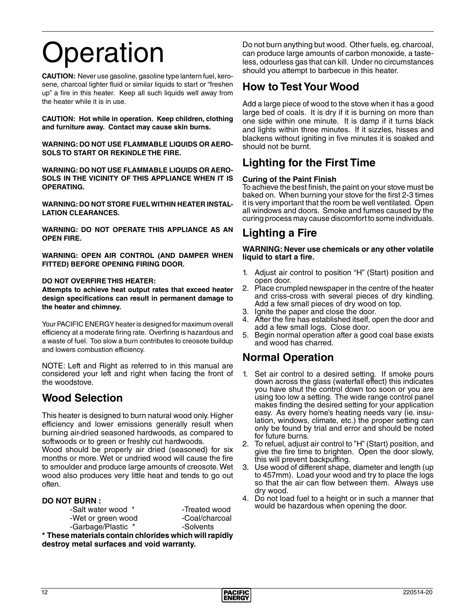# Operation

**CAUTION:** Never use gasoline, gasoline type lantern fuel, kerosene, charcoal lighter fluid or similar liquids to start or "freshen up" a fire in this heater. Keep all such liquids well away from the heater while it is in use.

**CAUTION: Hot while in operation. Keep children, clothing and furniture away. Contact may cause skin burns.**

**WARNING: DO NOT USE FLAMMABLE LIQUIDS OR AERO-SOLS TO START OR REKINDLE THE FIRE.**

**WARNING: DO NOT USE FLAMMABLE LIQUIDS OR AERO-SOLS IN THE VICINITY OF THIS APPLIANCE WHEN IT IS OPERATING.**

**WARNING: DO NOT STORE FUEL WITHIN HEATER INSTAL-LATION CLEARANCES.**

**WARNING: DO NOT OPERATE THIS APPLIANCE AS AN OPEN FIRE.**

**WARNING: OPEN AIR CONTROL (AND DAMPER WHEN FITTED) BEFORE OPENING FIRING DOOR.**

#### **DO NOT OVERFIRE THIS HEATER:**

**Attempts to achieve heat output rates that exceed heater**  design specifications can result in permanent damage to **the heater and chimney.**

Your PACIFIC ENERGY heater is designed for maximum overall efficiency at a moderate firing rate. Overfiring is hazardous and a waste of fuel. Too slow a burn contributes to creosote buildup and lowers combustion efficiency.

NOTE: Left and Right as referred to in this manual are considered your left and right when facing the front of the woodstove.

#### **Wood Selection**

This heater is designed to burn natural wood only. Higher efficiency and lower emissions generally result when burning air-dried seasoned hardwoods, as compared to softwoods or to green or freshly cut hardwoods.

Wood should be properly air dried (seasoned) for six months or more. Wet or undried wood will cause the fire to smoulder and produce large amounts of creosote. Wet wood also produces very little heat and tends to go out often.

#### **DO NOT BURN :**

| * These materials contain chlorides which will rapidly |                |
|--------------------------------------------------------|----------------|
| -Garbage/Plastic *                                     | -Solvents      |
| -Wet or green wood                                     | -Coal/charcoal |
| -Salt water wood *                                     | -Treated wood  |
|                                                        |                |

**destroy metal surfaces and void warranty.**

Do not burn anything but wood. Other fuels, eg. charcoal, can produce large amounts of carbon monoxide, a tasteless, odourless gas that can kill. Under no circumstances should you attempt to barbecue in this heater.

#### **How to Test Your Wood**

Add a large piece of wood to the stove when it has a good large bed of coals. It is dry if it is burning on more than one side within one minute. It is damp if it turns black and lights within three minutes. If it sizzles, hisses and blackens without igniting in five minutes it is soaked and should not be burnt.

#### **Lighting for the First Time**

#### **Curing of the Paint Finish**

To achieve the best finish, the paint on your stove must be baked on. When burning your stove for the first 2-3 times it is very important that the room be well ventilated. Open all windows and doors. Smoke and fumes caused by the curing process may cause discomfort to some individuals.

#### **Lighting a Fire**

#### **WARNING: Never use chemicals or any other volatile liquid to start a fire.**

- 1. Adjust air control to position "H" (Start) position and open door.
- 2. Place crumpled newspaper in the centre of the heater and criss-cross with several pieces of dry kindling. Add a few small pieces of dry wood on top.
- 3. Ignite the paper and close the door.
- 4. After the fire has established itself, open the door and add a few small logs. Close door.
- 5. Begin normal operation after a good coal base exists and wood has charred.

#### **Normal Operation**

- 1. Set air control to a desired setting. If smoke pours down across the glass (waterfall effect) this indicates you have shut the control down too soon or you are using too low a setting. The wide range control panel makes finding the desired setting for your application easy. As every home's heating needs vary (ie. insulation, windows, climate, etc.) the proper setting can only be found by trial and error and should be noted for future burns.
- 2. To refuel, adjust air control to "H" (Start) position, and give the fire time to brighten. Open the door slowly, this will prevent backpuffing.
- 3. Use wood of different shape, diameter and length (up to 457mm). Load your wood and try to place the logs so that the air can flow between them. Always use dry wood.
- 4. Do not load fuel to a height or in such a manner that would be hazardous when opening the door.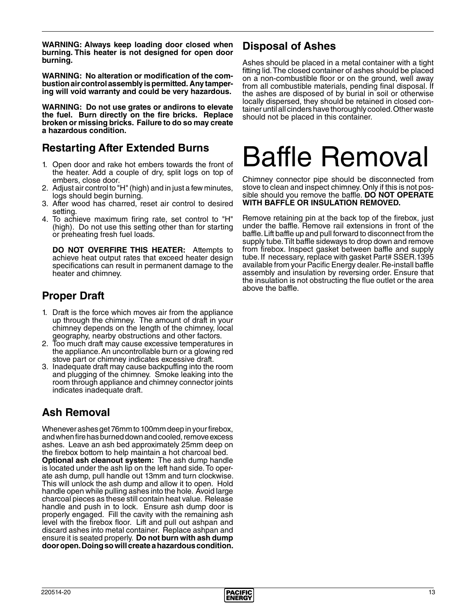**WARNING: Always keep loading door closed when burning. This heater is not designed for open door burning.**

**WARNING: No alteration or modification of the combustion air control assembly is permitted. Any tampering will void warranty and could be very hazardous.**

**WARNING: Do not use grates or andirons to elevate**  the fuel. Burn directly on the fire bricks. Replace **broken or missing bricks. Failure to do so may create a hazardous condition.**

#### **Restarting After Extended Burns**

- 1. Open door and rake hot embers towards the front of the heater. Add a couple of dry, split logs on top of embers, close door.
- 2. Adjust air control to "H" (high) and in just a few minutes, logs should begin burning.
- 3. After wood has charred, reset air control to desired setting.
- 4. To achieve maximum firing rate, set control to "H" (high). Do not use this setting other than for starting or preheating fresh fuel loads.

**DO NOT OVERFIRE THIS HEATER:** Attempts to achieve heat output rates that exceed heater design specifications can result in permanent damage to the heater and chimney.

#### **Proper Draft**

- 1. Draft is the force which moves air from the appliance up through the chimney. The amount of draft in your chimney depends on the length of the chimney, local geography, nearby obstructions and other factors.
- 2. Too much draft may cause excessive temperatures in the appliance. An uncontrollable burn or a glowing red stove part or chimney indicates excessive draft.
- 3. Inadequate draft may cause backpuffing into the room and plugging of the chimney. Smoke leaking into the room through appliance and chimney connector joints indicates inadequate draft.

#### **Ash Removal**

Whenever ashes get 76mm to 100mm deep in your firebox, and when fire has burned down and cooled, remove excess ashes. Leave an ash bed approximately 25mm deep on the firebox bottom to help maintain a hot charcoal bed. **Optional ash cleanout system:** The ash dump handle is located under the ash lip on the left hand side. To operate ash dump, pull handle out 13mm and turn clockwise. This will unlock the ash dump and allow it to open. Hold handle open while pulling ashes into the hole. Avoid large charcoal pieces as these still contain heat value. Release handle and push in to lock. Ensure ash dump door is properly engaged. Fill the cavity with the remaining ash level with the firebox floor. Lift and pull out ashpan and discard ashes into metal container. Replace ashpan and ensure it is seated properly. **Do not burn with ash dump door open. Doing so will create a hazardous condition.**

#### **Disposal of Ashes**

Ashes should be placed in a metal container with a tight fitting lid. The closed container of ashes should be placed on a non-combustible floor or on the ground, well away from all combustible materials, pending final disposal. If the ashes are disposed of by burial in soil or otherwise locally dispersed, they should be retained in closed container until all cinders have thoroughly cooled. Other waste should not be placed in this container.

## Baffle Removal

Chimney connector pipe should be disconnected from stove to clean and inspect chimney. Only if this is not possible should you remove the baffle. **DO NOT OPERATE WITH BAFFLE OR INSULATION REMOVED.**

Remove retaining pin at the back top of the firebox, just under the baffle. Remove rail extensions in front of the baffle. Lift baffle up and pull forward to disconnect from the supply tube. Tilt baffle sideways to drop down and remove from firebox. Inspect gasket between baffle and supply tube. If necessary, replace with gasket Part# SSER.1395 available from your Pacific Energy dealer. Re-install baffle assembly and insulation by reversing order. Ensure that the insulation is not obstructing the flue outlet or the area above the baffle.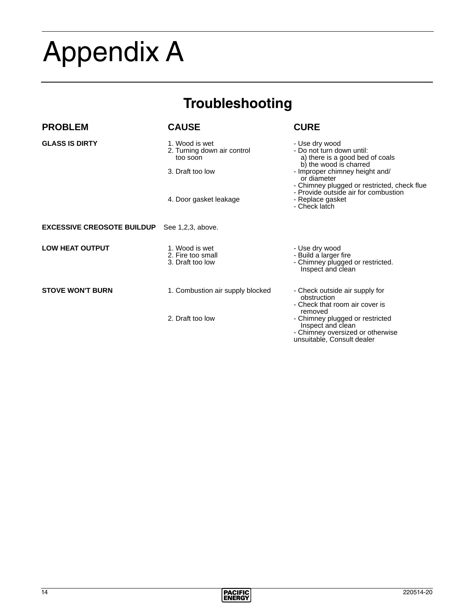# Appendix A

### **Troubleshooting**

| <b>PROBLEM</b>                    | <b>CAUSE</b>                                                                  | <b>CURE</b>                                                                                                                                |
|-----------------------------------|-------------------------------------------------------------------------------|--------------------------------------------------------------------------------------------------------------------------------------------|
| <b>GLASS IS DIRTY</b>             | 1. Wood is wet<br>2. Turning down air control<br>too soon<br>3. Draft too low | - Use dry wood<br>- Do not turn down until:<br>a) there is a good bed of coals<br>b) the wood is charred<br>- Improper chimney height and/ |
|                                   | 4. Door gasket leakage                                                        | or diameter<br>- Chimney plugged or restricted, check flue<br>- Provide outside air for combustion<br>- Replace gasket<br>- Check latch    |
| <b>EXCESSIVE CREOSOTE BUILDUP</b> | See 1,2,3, above.                                                             |                                                                                                                                            |
| <b>LOW HEAT OUTPUT</b>            | 1. Wood is wet<br>2. Fire too small<br>3. Draft too low                       | - Use dry wood<br>- Build a larger fire<br>- Chimney plugged or restricted.<br>Inspect and clean                                           |
| <b>STOVE WON'T BURN</b>           | 1. Combustion air supply blocked                                              | - Check outside air supply for<br>obstruction<br>- Check that room air cover is<br>removed                                                 |
|                                   | 2. Draft too low                                                              | - Chimney plugged or restricted<br>Inspect and clean<br>- Chimney oversized or otherwise                                                   |

unsuitable, Consult dealer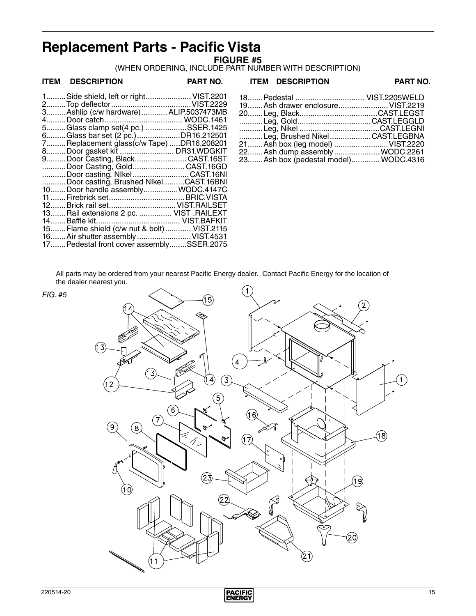#### **Replacement Parts - Pacific Vista FIGURE #5**

(WHEN ORDERING, INCLUDE PART NUMBER WITH DESCRIPTION)

#### **ITEM DESCRIPTION PART NO. ITEM DESCRIPTION PART NO.**

| 1Side shield, left or right VIST.2201                                         |  |
|-------------------------------------------------------------------------------|--|
|                                                                               |  |
| 3Ashlip (c/w hardware) ALIP.5037473MB                                         |  |
|                                                                               |  |
| 5Glass clamp set(4 pc.) SSER.1425                                             |  |
|                                                                               |  |
| 6Glass bar set (2 pc.)DR16.212501<br>7Replacement glass(c/w Tape) DR16.208201 |  |
| 8Door gasket kit  DR31.WDGKIT                                                 |  |
| 9Door Casting, BlackCAST.16ST                                                 |  |
| Door Casting, Gold CAST.16GD                                                  |  |
| Door casting, NIkelCAST.16NI                                                  |  |
| Door casting, Brushed NIkelCAST.16BNI                                         |  |
| 10Door handle assemblyWODC.4147C                                              |  |
|                                                                               |  |
| 12 Brick rail set VIST.RAILSET                                                |  |
| 13 Rail extensions 2 pc.  VIST .RAILEXT                                       |  |
|                                                                               |  |
| 15 Flame shield (c/w nut & bolt) VIST.2115                                    |  |
| 16 Air shutter assembly  VIST.4531                                            |  |
| 17 Pedestal front cover assemblySSER.2075                                     |  |
|                                                                               |  |

| 18 Pedestal  VIST.2205WELD           |  |
|--------------------------------------|--|
| 19 Ash drawer enclosure VIST.2219    |  |
|                                      |  |
|                                      |  |
|                                      |  |
| Leg, Brushed NikelCAST.LEGBNA        |  |
| 21Ash box (leg model) VIST.2220      |  |
| 22Ash dump assembly WODC.2261        |  |
| 23Ash box (pedestal model) WODC.4316 |  |

All parts may be ordered from your nearest Pacific Energy dealer. Contact Pacific Energy for the location of the dealer nearest you.



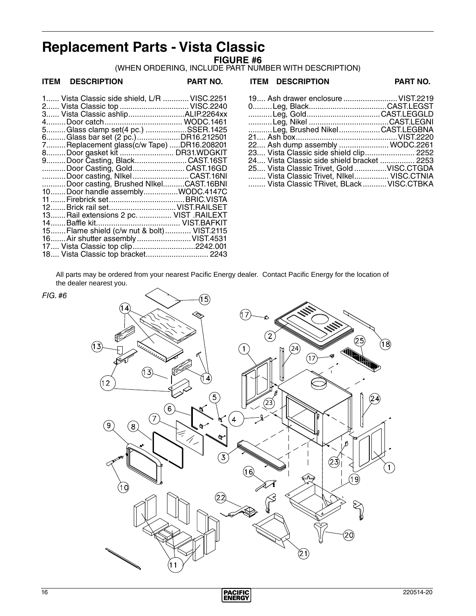### **Replacement Parts - Vista Classic**

**FIGURE #6** (WHEN ORDERING, INCLUDE PART NUMBER WITH DESCRIPTION)

#### **ITEM DESCRIPTION PART NO. ITEM DESCRIPTION PART NO.**

| 1 Vista Classic side shield, L/R  VISC.2251 |  |
|---------------------------------------------|--|
| 2 Vista Classic top  VISC.2240              |  |
| 3 Vista Classic ashlipALIP.2264xx           |  |
|                                             |  |
| 5Glass clamp set(4 pc.) SSER.1425           |  |
| 6Glass bar set (2 pc.)DR16.212501           |  |
| 7 Replacement glass(c/w Tape) DR16.208201   |  |
| 8Door gasket kit  DR31.WDGKIT               |  |
| 9Door Časting, Black CAST.16ST              |  |
| Door Casting, Gold CAST.16GD                |  |
| Door casting, NIkelCAST.16NI                |  |
| Door casting, Brushed NIkelCAST.16BNI       |  |
| 10Door handle assemblyWODC.4147C            |  |
|                                             |  |
| 12 Brick rail set VIST.RAILSET              |  |
| 13 Rail extensions 2 pc.  VIST .RAILEXT     |  |
|                                             |  |
| 15 Flame shield (c/w nut & bolt) VIST.2115  |  |
| 16 Air shutter assembly  VIST.4531          |  |
| 17 Vista Classic top clip2242.001           |  |
| 18 Vista Classic top bracket 2243           |  |
|                                             |  |

| 19 Ash drawer enclosure  VIST.2219         |  |
|--------------------------------------------|--|
|                                            |  |
|                                            |  |
| Leg, Brushed NikelCAST.LEGBNA              |  |
|                                            |  |
| 22 Ash dump assembly  WODC.2261            |  |
| 23 Vista Classic side shield clip 2252     |  |
| 24 Vista Classic side shield bracket  2253 |  |
| 25 Vista Classic Trivet, Gold  VISC.CTGDA  |  |
| Vista Classic Trivet, NIkel VISC.CTNIA     |  |
| Vista Classic TRivet, BLack  VISC.CTBKA    |  |

All parts may be ordered from your nearest Pacific Energy dealer. Contact Pacific Energy for the location of the dealer nearest you.



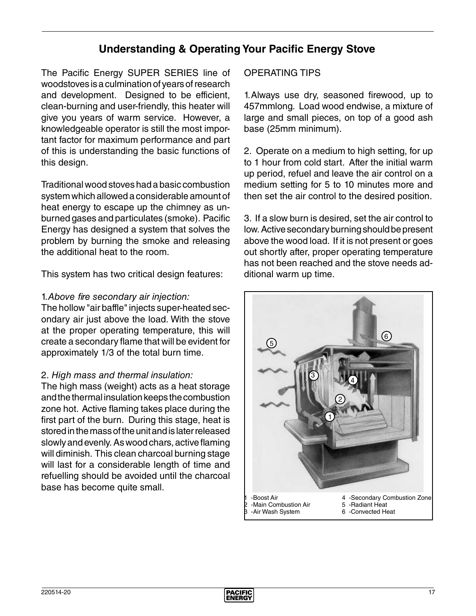#### **Understanding & Operating Your Pacific Energy Stove**

The Pacific Energy SUPER SERIES line of woodstoves is a culmination of years of research and development. Designed to be efficient, clean-burning and user-friendly, this heater will give you years of warm service. However, a knowledgeable operator is still the most important factor for maximum performance and part of this is understanding the basic functions of this design.

Traditional wood stoves had a basic combustion system which allowed a considerable amount of heat energy to escape up the chimney as unburned gases and particulates (smoke). Pacific Energy has designed a system that solves the problem by burning the smoke and releasing the additional heat to the room.

This system has two critical design features:

#### 1. Above fire secondary air injection:

The hollow "air baffle" injects super-heated secondary air just above the load. With the stove at the proper operating temperature, this will create a secondary flame that will be evident for approximately 1/3 of the total burn time.

#### 2. High mass and thermal insulation:

The high mass (weight) acts as a heat storage and the thermal insulation keeps the combustion zone hot. Active flaming takes place during the first part of the burn. During this stage, heat is stored in the mass of the unit and is later released slowly and evenly. As wood chars, active flaming will diminish. This clean charcoal burning stage will last for a considerable length of time and refuelling should be avoided until the charcoal base has become quite small.

#### OPERATING TIPS

1. Always use dry, seasoned firewood, up to 457mmlong. Load wood endwise, a mixture of large and small pieces, on top of a good ash base (25mm minimum).

2. Operate on a medium to high setting, for up to 1 hour from cold start. After the initial warm up period, refuel and leave the air control on a medium setting for 5 to 10 minutes more and then set the air control to the desired position.

3. If a slow burn is desired, set the air control to low. Active secondary burning should be present above the wood load. If it is not present or goes out shortly after, proper operating temperature has not been reached and the stove needs additional warm up time.



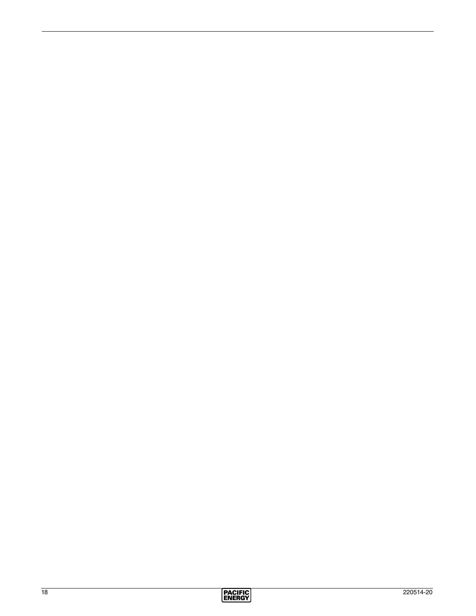

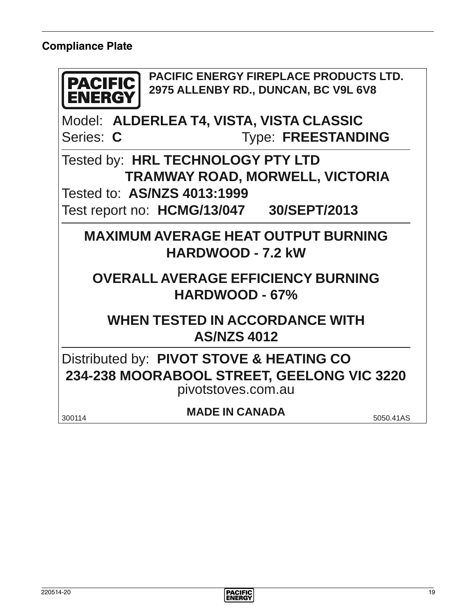### **Compliance Plate**

| <b>PACIFIC</b><br><b>ENERGY</b> |                                                                | PACIFIC ENERGY FIREPLACE PRODUCTS LTD.<br>2975 ALLENBY RD., DUNCAN, BC V9L 6V8 |
|---------------------------------|----------------------------------------------------------------|--------------------------------------------------------------------------------|
|                                 | Model: ALDERLEA T4, VISTA, VISTA CLASSIC                       |                                                                                |
| Series: C                       |                                                                | <b>Type: FREESTANDING</b>                                                      |
| Tested to: AS/NZS 4013:1999     | Tested by: HRL TECHNOLOGY PTY LTD                              | <b>TRAMWAY ROAD, MORWELL, VICTORIA</b>                                         |
|                                 | Test report no: HCMG/13/047 30/SEPT/2013                       |                                                                                |
|                                 | <b>HARDWOOD - 7.2 kW</b>                                       | <b>MAXIMUM AVERAGE HEAT OUTPUT BURNING</b>                                     |
|                                 | HARDWOOD - 67%                                                 | <b>OVERALL AVERAGE EFFICIENCY BURNING</b>                                      |
|                                 | <b>WHEN TESTED IN ACCORDANCE WITH</b><br><b>AS/NZS 4012</b>    |                                                                                |
|                                 | Distributed by: PIVOT STOVE & HEATING CO<br>pivotstoves.com.au | 234-238 MOORABOOL STREET, GEELONG VIC 3220                                     |
| 300114                          | <b>MADE IN CANADA</b>                                          | 5050.41AS                                                                      |